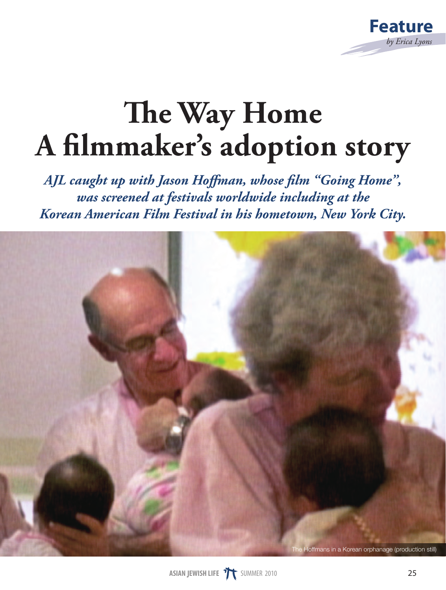

## **The Way Home A filmmaker's adoption story**

*AJL caught up with Jason Hoffman, whose film "Going Home", was screened at festivals worldwide including at the Korean American Film Festival in his hometown, New York City.*

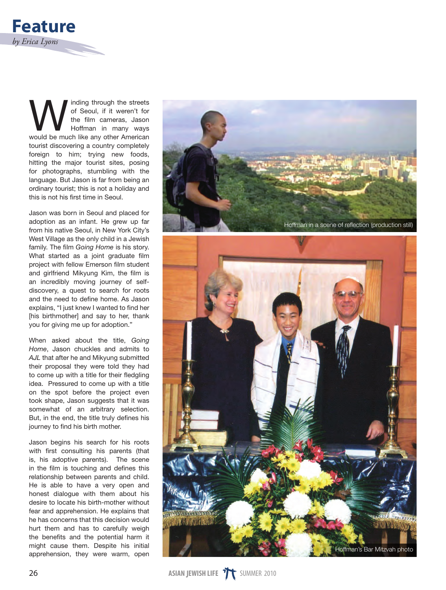

**WEINTERN SECOND SECOND THE STATE OF SECOUL SET ALSO THE SECOND THE STATE OF SECOND SEX SECOND SEX SECOND SEX SECOND SEX SECOND SEX SECOND SEX SECOND SEX SECOND SEX SECOND SEX SECOND SEX SECOND SEX SECOND SEX SECOND SEX SE** of Seoul, if it weren't for the film cameras, Jason Hoffman in many ways tourist discovering a country completely foreign to him; trying new foods, hitting the major tourist sites, posing for photographs, stumbling with the language. But Jason is far from being an ordinary tourist; this is not a holiday and this is not his first time in Seoul.

Jason was born in Seoul and placed for adoption as an infant. He grew up far from his native Seoul, in New York City's West Village as the only child in a Jewish family. The film *Going Home* is his story. What started as a joint graduate film project with fellow Emerson film student and girlfriend Mikyung Kim, the film is an incredibly moving journey of selfdiscovery, a quest to search for roots and the need to define home. As Jason explains, "I just knew I wanted to find her [his birthmother] and say to her, thank you for giving me up for adoption."

When asked about the title, *Going Home*, Jason chuckles and admits to *AJL* that after he and Mikyung submitted their proposal they were told they had to come up with a title for their fledgling idea. Pressured to come up with a title on the spot before the project even took shape, Jason suggests that it was somewhat of an arbitrary selection. But, in the end, the title truly defines his journey to find his birth mother.

Jason begins his search for his roots with first consulting his parents (that is, his adoptive parents). The scene in the film is touching and defines this relationship between parents and child. He is able to have a very open and honest dialogue with them about his desire to locate his birth-mother without fear and apprehension. He explains that he has concerns that this decision would hurt them and has to carefully weigh the benefits and the potential harm it might cause them. Despite his initial apprehension, they were warm, open

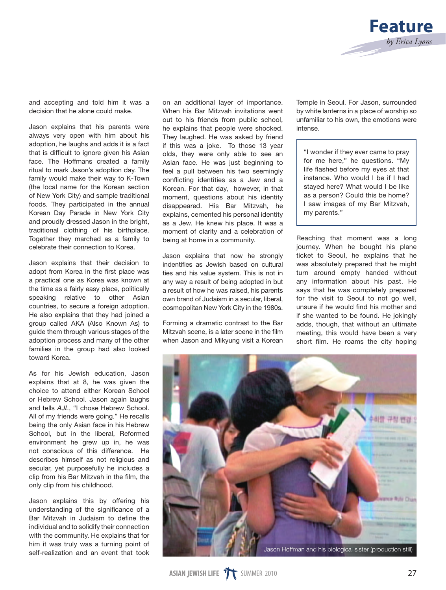

and accepting and told him it was a decision that he alone could make.

Jason explains that his parents were always very open with him about his adoption, he laughs and adds it is a fact that is difficult to ignore given his Asian face. The Hoffmans created a family ritual to mark Jason's adoption day. The family would make their way to K-Town (the local name for the Korean section of New York City) and sample traditional foods. They participated in the annual Korean Day Parade in New York City and proudly dressed Jason in the bright, traditional clothing of his birthplace. Together they marched as a family to celebrate their connection to Korea.

Jason explains that their decision to adopt from Korea in the first place was a practical one as Korea was known at the time as a fairly easy place, politically speaking relative to other Asian countries, to secure a foreign adoption. He also explains that they had joined a group called AKA (Also Known As) to guide them through various stages of the adoption process and many of the other families in the group had also looked toward Korea.

As for his Jewish education, Jason explains that at 8, he was given the choice to attend either Korean School or Hebrew School. Jason again laughs and tells *AJL*, "I chose Hebrew School. All of my friends were going." He recalls being the only Asian face in his Hebrew School, but in the liberal, Reformed environment he grew up in, he was not conscious of this difference. He describes himself as not religious and secular, yet purposefully he includes a clip from his Bar Mitzvah in the film, the only clip from his childhood.

Jason explains this by offering his understanding of the significance of a Bar Mitzvah in Judaism to define the individual and to solidify their connection with the community. He explains that for him it was truly was a turning point of self-realization and an event that took

on an additional layer of importance. When his Bar Mitzvah invitations went out to his friends from public school, he explains that people were shocked. They laughed. He was asked by friend if this was a joke. To those 13 year olds, they were only able to see an Asian face. He was just beginning to feel a pull between his two seemingly conflicting identities as a Jew and a Korean. For that day, however, in that moment, questions about his identity disappeared. His Bar Mitzvah, he explains, cemented his personal identity as a Jew. He knew his place. It was a moment of clarity and a celebration of being at home in a community.

Jason explains that now he strongly indentifies as Jewish based on cultural ties and his value system. This is not in any way a result of being adopted in but a result of how he was raised, his parents own brand of Judaism in a secular, liberal, cosmopolitan New York City in the 1980s.

Forming a dramatic contrast to the Bar Mitzvah scene, is a later scene in the film when Jason and Mikyung visit a Korean

Temple in Seoul. For Jason, surrounded by white lanterns in a place of worship so unfamiliar to his own, the emotions were intense.

"I wonder if they ever came to pray for me here," he questions. "My life flashed before my eyes at that instance. Who would I be if I had stayed here? What would I be like as a person? Could this be home? I saw images of my Bar Mitzvah, my parents."

Reaching that moment was a long journey. When he bought his plane ticket to Seoul, he explains that he was absolutely prepared that he might turn around empty handed without any information about his past. He says that he was completely prepared for the visit to Seoul to not go well, unsure if he would find his mother and if she wanted to be found. He jokingly adds, though, that without an ultimate meeting, this would have been a very short film. He roams the city hoping